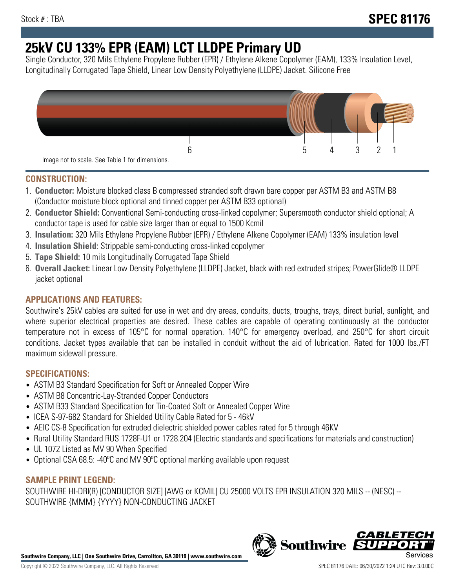# **25kV CU 133% EPR (EAM) LCT LLDPE Primary UD**

Single Conductor, 320 Mils Ethylene Propylene Rubber (EPR) / Ethylene Alkene Copolymer (EAM), 133% Insulation Level, Longitudinally Corrugated Tape Shield, Linear Low Density Polyethylene (LLDPE) Jacket. Silicone Free



## **CONSTRUCTION:**

- 1. **Conductor:** Moisture blocked class B compressed stranded soft drawn bare copper per ASTM B3 and ASTM B8 (Conductor moisture block optional and tinned copper per ASTM B33 optional)
- 2. **Conductor Shield:** Conventional Semi-conducting cross-linked copolymer; Supersmooth conductor shield optional; A conductor tape is used for cable size larger than or equal to 1500 Kcmil
- 3. **Insulation:** 320 Mils Ethylene Propylene Rubber (EPR) / Ethylene Alkene Copolymer (EAM) 133% insulation level
- 4. **Insulation Shield:** Strippable semi-conducting cross-linked copolymer
- 5. **Tape Shield:** 10 mils Longitudinally Corrugated Tape Shield
- 6. **Overall Jacket:** Linear Low Density Polyethylene (LLDPE) Jacket, black with red extruded stripes; PowerGlide® LLDPE jacket optional

# **APPLICATIONS AND FEATURES:**

Southwire's 25kV cables are suited for use in wet and dry areas, conduits, ducts, troughs, trays, direct burial, sunlight, and where superior electrical properties are desired. These cables are capable of operating continuously at the conductor temperature not in excess of 105°C for normal operation. 140°C for emergency overload, and 250°C for short circuit conditions. Jacket types available that can be installed in conduit without the aid of lubrication. Rated for 1000 lbs./FT maximum sidewall pressure.

### **SPECIFICATIONS:**

- ASTM B3 Standard Specification for Soft or Annealed Copper Wire
- ASTM B8 Concentric-Lay-Stranded Copper Conductors
- ASTM B33 Standard Specification for Tin-Coated Soft or Annealed Copper Wire
- ICEA S-97-682 Standard for Shielded Utility Cable Rated for 5 46kV
- AEIC CS-8 Specification for extruded dielectric shielded power cables rated for 5 through 46KV
- Rural Utility Standard RUS 1728F-U1 or 1728.204 (Electric standards and specifications for materials and construction)
- UL 1072 Listed as MV 90 When Specified
- Optional CSA 68.5: -40ºC and MV 90ºC optional marking available upon request

# **SAMPLE PRINT LEGEND:**

SOUTHWIRE HI-DRI(R) [CONDUCTOR SIZE] [AWG or KCMIL] CU 25000 VOLTS EPR INSULATION 320 MILS -- (NESC) -- SOUTHWIRE {MMM} {YYYY} NON-CONDUCTING JACKET

**Southwire Company, LLC | One Southwire Drive, Carrollton, GA 30119 | www.southwire.com**